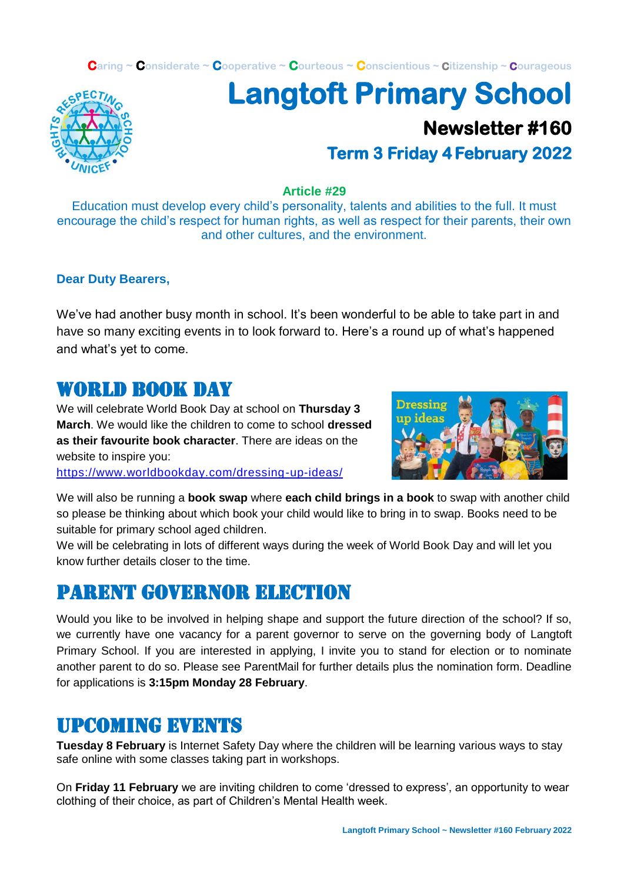**Caring ~ Considerate ~ Cooperative ~ Courteous ~ Conscientious ~ Citizenship ~ Courageous**



# **Langtoft Primary School Newsletter #160 Term 3 Friday 4 February 2022**

#### **Article #29**

Education must develop every child's personality, talents and abilities to the full. It must encourage the child's respect for human rights, as well as respect for their parents, their own and other cultures, and the environment.

#### **Dear Duty Bearers,**

We've had another busy month in school. It's been wonderful to be able to take part in and have so many exciting events in to look forward to. Here's a round up of what's happened and what's yet to come.

#### WORLD ROOK DAY

We will celebrate World Book Day at school on **Thursday 3 March**. We would like the children to come to school **dressed as their favourite book character**. There are ideas on the website to inspire you:

<https://www.worldbookday.com/dressing-up-ideas/>



We will also be running a **book swap** where **each child brings in a book** to swap with another child so please be thinking about which book your child would like to bring in to swap. Books need to be suitable for primary school aged children.

We will be celebrating in lots of different ways during the week of World Book Day and will let you know further details closer to the time.

# Parent governor election

Would you like to be involved in helping shape and support the future direction of the school? If so, we currently have one vacancy for a parent governor to serve on the governing body of Langtoft Primary School. If you are interested in applying, I invite you to stand for election or to nominate another parent to do so. Please see ParentMail for further details plus the nomination form. Deadline for applications is **3:15pm Monday 28 February**.

# Upcoming events

**Tuesday 8 February** is Internet Safety Day where the children will be learning various ways to stay safe online with some classes taking part in workshops.

On **Friday 11 February** we are inviting children to come 'dressed to express', an opportunity to wear clothing of their choice, as part of Children's Mental Health week.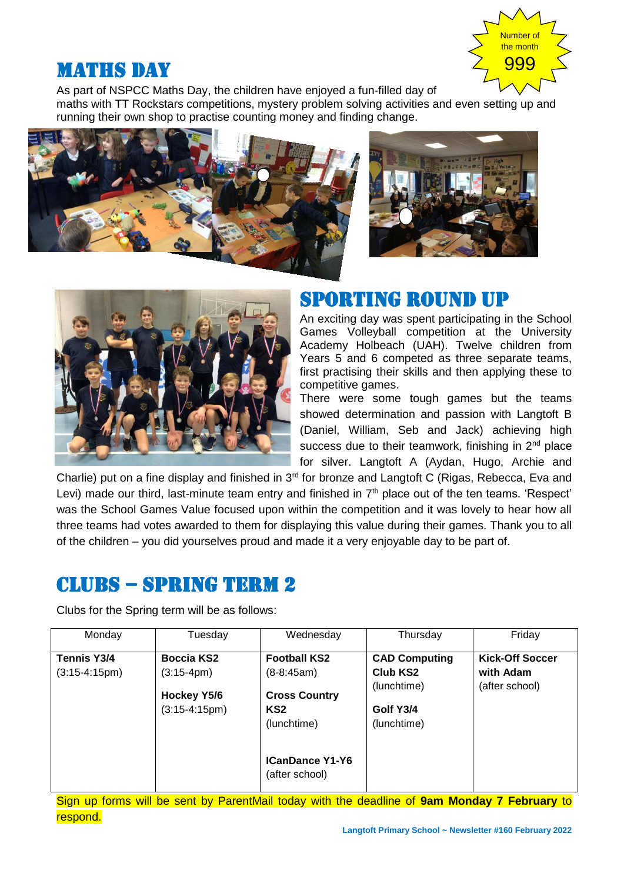

# **MATHS DAY**

As part of NSPCC Maths Day, the children have enjoyed a fun-filled day of

maths with TT Rockstars competitions, mystery problem solving activities and even setting up and running their own shop to practise counting money and finding change.







# Sporting round up

An exciting day was spent participating in the School Games Volleyball competition at the University Academy Holbeach (UAH). Twelve children from Years 5 and 6 competed as three separate teams, first practising their skills and then applying these to competitive games.

There were some tough games but the teams showed determination and passion with Langtoft B (Daniel, William, Seb and Jack) achieving high success due to their teamwork, finishing in 2<sup>nd</sup> place for silver. Langtoft A (Aydan, Hugo, Archie and

Charlie) put on a fine display and finished in 3<sup>rd</sup> for bronze and Langtoft C (Rigas, Rebecca, Eva and Levi) made our third, last-minute team entry and finished in  $7<sup>th</sup>$  place out of the ten teams. 'Respect' was the School Games Value focused upon within the competition and it was lovely to hear how all three teams had votes awarded to them for displaying this value during their games. Thank you to all of the children – you did yourselves proud and made it a very enjoyable day to be part of.

# CLUBS – SPRING TERM 2

Clubs for the Spring term will be as follows:

| Monday             | Tuesday                               | Wednesday                                              | Thursday                                | Friday                 |
|--------------------|---------------------------------------|--------------------------------------------------------|-----------------------------------------|------------------------|
| <b>Tennis Y3/4</b> | <b>Boccia KS2</b>                     | <b>Football KS2</b>                                    | <b>CAD Computing</b>                    | <b>Kick-Off Soccer</b> |
| $(3:15-4:15pm)$    | $(3:15-4pm)$                          | $(8-8:45am)$                                           | Club KS2                                | with Adam              |
|                    | <b>Hockey Y5/6</b><br>$(3:15-4:15pm)$ | <b>Cross Country</b><br>KS <sub>2</sub><br>(lunchtime) | (lunchtime)<br>Golf Y3/4<br>(lunchtime) | (after school)         |
|                    |                                       | <b>ICanDance Y1-Y6</b><br>(after school)               |                                         |                        |

Sign up forms will be sent by ParentMail today with the deadline of **9am Monday 7 February** to respond.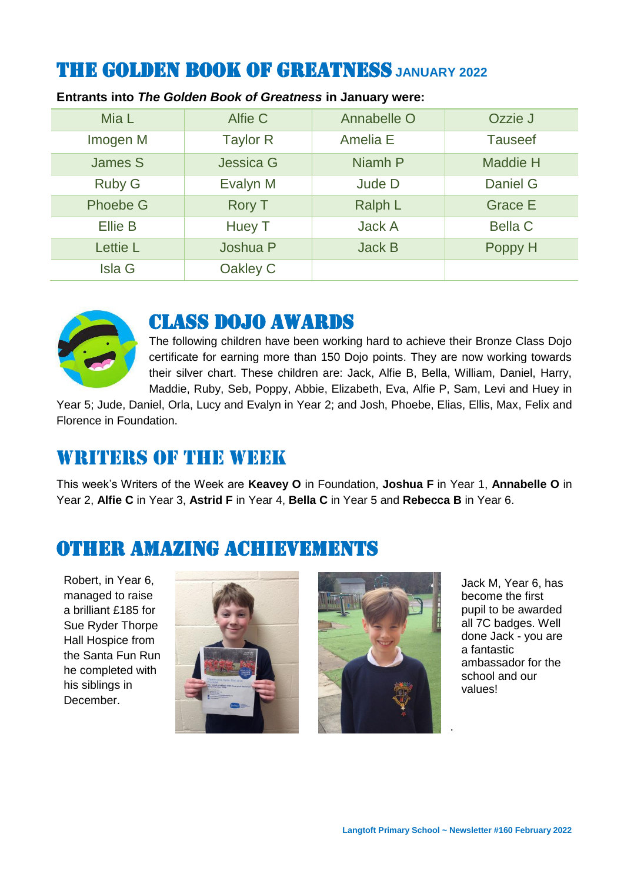# THE GOLDEN BOOK OF GREATNESS **JANUARY 2022**

| Mia L           | Alfie C         | Annabelle O   | Ozzie J         |
|-----------------|-----------------|---------------|-----------------|
| Imogen M        | <b>Taylor R</b> | Amelia E      | <b>Tauseef</b>  |
| <b>James S</b>  | Jessica G       | Niamh P       | <b>Maddie H</b> |
| <b>Ruby G</b>   | Evalyn M        | Jude D        | Daniel G        |
| <b>Phoebe G</b> | <b>Rory T</b>   | Ralph L       | <b>Grace E</b>  |
| <b>Ellie B</b>  | Huey T          | <b>Jack A</b> | <b>Bella C</b>  |
| Lettie L        | Joshua P        | <b>Jack B</b> | Poppy H         |
| <b>Isla G</b>   | Oakley C        |               |                 |

#### **Entrants into** *The Golden Book of Greatness* **in January were:**



### Class dojo awards

The following children have been working hard to achieve their Bronze Class Dojo certificate for earning more than 150 Dojo points. They are now working towards their silver chart. These children are: Jack, Alfie B, Bella, William, Daniel, Harry, Maddie, Ruby, Seb, Poppy, Abbie, Elizabeth, Eva, Alfie P, Sam, Levi and Huey in

Year 5; Jude, Daniel, Orla, Lucy and Evalyn in Year 2; and Josh, Phoebe, Elias, Ellis, Max, Felix and Florence in Foundation.

#### WRITERS OF THE WEEK

This week's Writers of the Week are **Keavey O** in Foundation, **Joshua F** in Year 1, **Annabelle O** in Year 2, **Alfie C** in Year 3, **Astrid F** in Year 4, **Bella C** in Year 5 and **Rebecca B** in Year 6.

# Other amazing achievements

Robert, in Year 6, managed to raise a brilliant £185 for Sue Ryder Thorpe Hall Hospice from the Santa Fun Run he completed with his siblings in December.





Jack M, Year 6, has become the first pupil to be awarded all 7C badges. Well done Jack - you are a fantastic ambassador for the school and our values!

.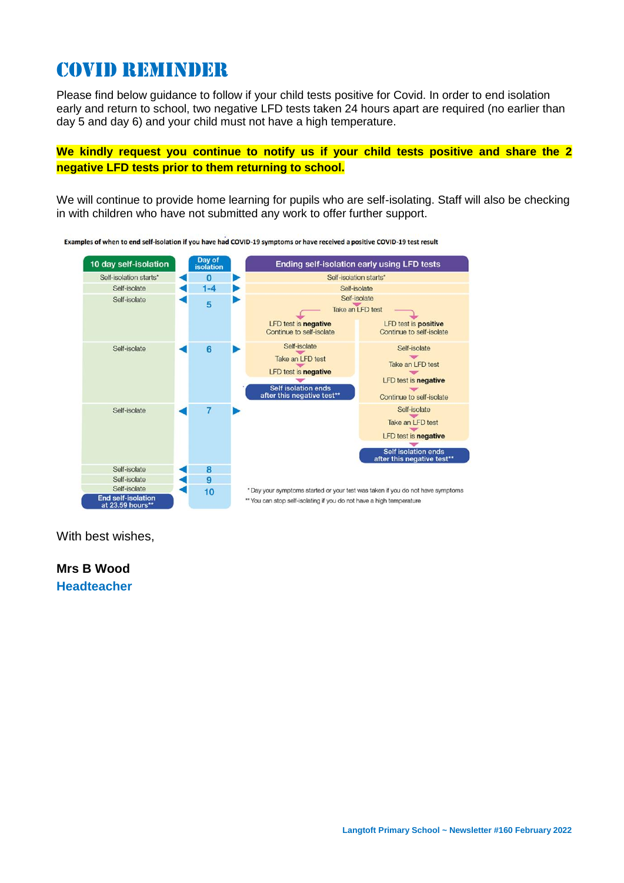# Covid reminder

Please find below guidance to follow if your child tests positive for Covid. In order to end isolation early and return to school, two negative LFD tests taken 24 hours apart are required (no earlier than day 5 and day 6) and your child must not have a high temperature.

**We kindly request you continue to notify us if your child tests positive and share the 2 negative LFD tests prior to them returning to school.**

We will continue to provide home learning for pupils who are self-isolating. Staff will also be checking in with children who have not submitted any work to offer further support.



Examples of when to end self-isolation if you have had COVID-19 symptoms or have received a positive COVID-19 test result

With best wishes,

**Mrs B Wood Headteacher**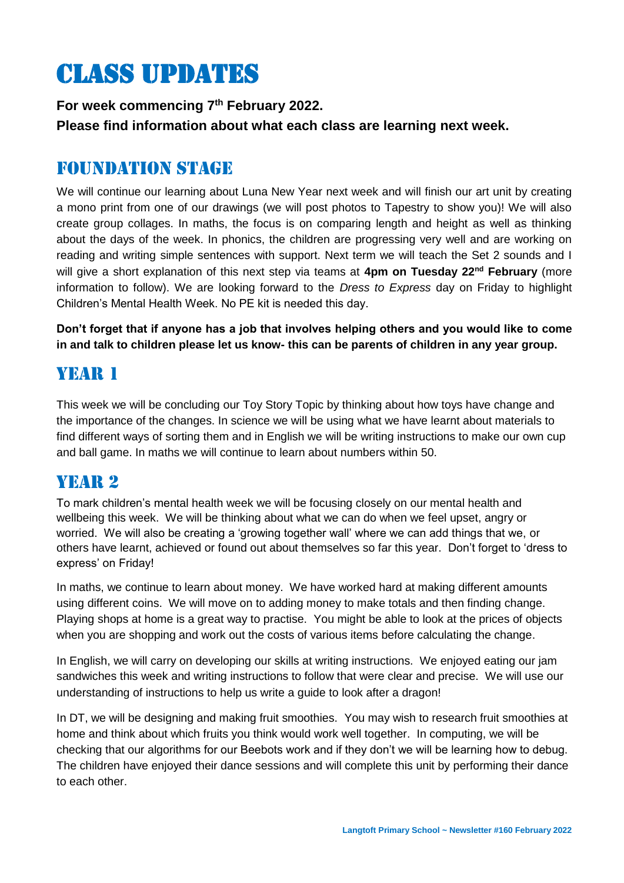# Class updates

**For week commencing 7 th February 2022. Please find information about what each class are learning next week.** 

#### Foundation stage

We will continue our learning about Luna New Year next week and will finish our art unit by creating a mono print from one of our drawings (we will post photos to Tapestry to show you)! We will also create group collages. In maths, the focus is on comparing length and height as well as thinking about the days of the week. In phonics, the children are progressing very well and are working on reading and writing simple sentences with support. Next term we will teach the Set 2 sounds and I will give a short explanation of this next step via teams at **4pm on Tuesday 22nd February** (more information to follow). We are looking forward to the *Dress to Express* day on Friday to highlight Children's Mental Health Week. No PE kit is needed this day.

**Don't forget that if anyone has a job that involves helping others and you would like to come in and talk to children please let us know- this can be parents of children in any year group.** 

### Year 1

This week we will be concluding our Toy Story Topic by thinking about how toys have change and the importance of the changes. In science we will be using what we have learnt about materials to find different ways of sorting them and in English we will be writing instructions to make our own cup and ball game. In maths we will continue to learn about numbers within 50.

#### YEAR 2

To mark children's mental health week we will be focusing closely on our mental health and wellbeing this week. We will be thinking about what we can do when we feel upset, angry or worried. We will also be creating a 'growing together wall' where we can add things that we, or others have learnt, achieved or found out about themselves so far this year. Don't forget to 'dress to express' on Friday!

In maths, we continue to learn about money. We have worked hard at making different amounts using different coins. We will move on to adding money to make totals and then finding change. Playing shops at home is a great way to practise. You might be able to look at the prices of objects when you are shopping and work out the costs of various items before calculating the change.

In English, we will carry on developing our skills at writing instructions. We enjoyed eating our jam sandwiches this week and writing instructions to follow that were clear and precise. We will use our understanding of instructions to help us write a guide to look after a dragon!

In DT, we will be designing and making fruit smoothies. You may wish to research fruit smoothies at home and think about which fruits you think would work well together. In computing, we will be checking that our algorithms for our Beebots work and if they don't we will be learning how to debug. The children have enjoyed their dance sessions and will complete this unit by performing their dance to each other.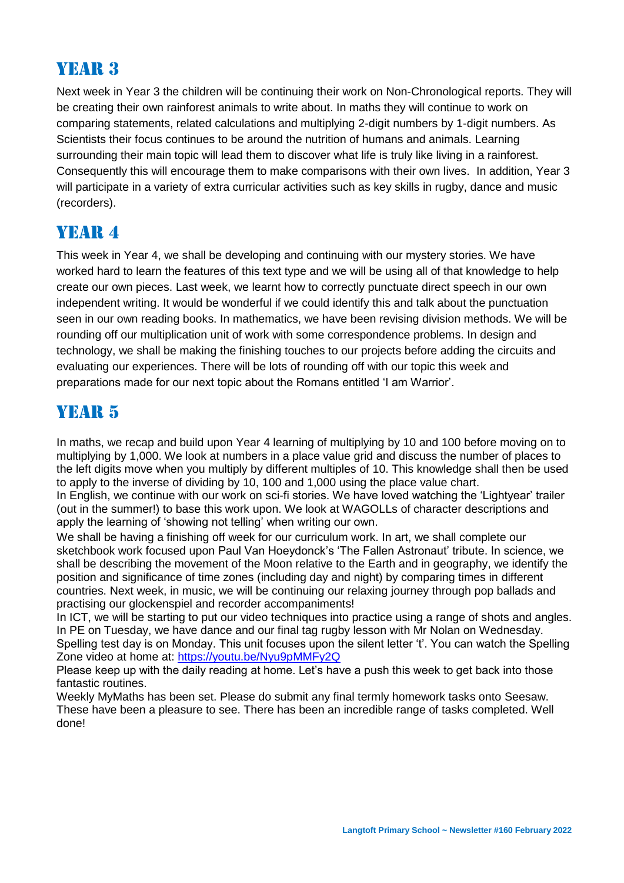# Year 3

Next week in Year 3 the children will be continuing their work on Non-Chronological reports. They will be creating their own rainforest animals to write about. In maths they will continue to work on comparing statements, related calculations and multiplying 2-digit numbers by 1-digit numbers. As Scientists their focus continues to be around the nutrition of humans and animals. Learning surrounding their main topic will lead them to discover what life is truly like living in a rainforest. Consequently this will encourage them to make comparisons with their own lives. In addition, Year 3 will participate in a variety of extra curricular activities such as key skills in rugby, dance and music (recorders).

### YEAR 4

This week in Year 4, we shall be developing and continuing with our mystery stories. We have worked hard to learn the features of this text type and we will be using all of that knowledge to help create our own pieces. Last week, we learnt how to correctly punctuate direct speech in our own independent writing. It would be wonderful if we could identify this and talk about the punctuation seen in our own reading books. In mathematics, we have been revising division methods. We will be rounding off our multiplication unit of work with some correspondence problems. In design and technology, we shall be making the finishing touches to our projects before adding the circuits and evaluating our experiences. There will be lots of rounding off with our topic this week and preparations made for our next topic about the Romans entitled 'I am Warrior'.

# YEAR 5

In maths, we recap and build upon Year 4 learning of multiplying by 10 and 100 before moving on to multiplying by 1,000. We look at numbers in a place value grid and discuss the number of places to the left digits move when you multiply by different multiples of 10. This knowledge shall then be used to apply to the inverse of dividing by 10, 100 and 1,000 using the place value chart.

In English, we continue with our work on sci-fi stories. We have loved watching the 'Lightyear' trailer (out in the summer!) to base this work upon. We look at WAGOLLs of character descriptions and apply the learning of 'showing not telling' when writing our own.

We shall be having a finishing off week for our curriculum work. In art, we shall complete our sketchbook work focused upon Paul Van Hoeydonck's 'The Fallen Astronaut' tribute. In science, we shall be describing the movement of the Moon relative to the Earth and in geography, we identify the position and significance of time zones (including day and night) by comparing times in different countries. Next week, in music, we will be continuing our relaxing journey through pop ballads and practising our glockenspiel and recorder accompaniments!

In ICT, we will be starting to put our video techniques into practice using a range of shots and angles. In PE on Tuesday, we have dance and our final tag rugby lesson with Mr Nolan on Wednesday. Spelling test day is on Monday. This unit focuses upon the silent letter 't'. You can watch the Spelling Zone video at home at:<https://youtu.be/Nyu9pMMFy2Q>

Please keep up with the daily reading at home. Let's have a push this week to get back into those fantastic routines.

Weekly MyMaths has been set. Please do submit any final termly homework tasks onto Seesaw. These have been a pleasure to see. There has been an incredible range of tasks completed. Well done!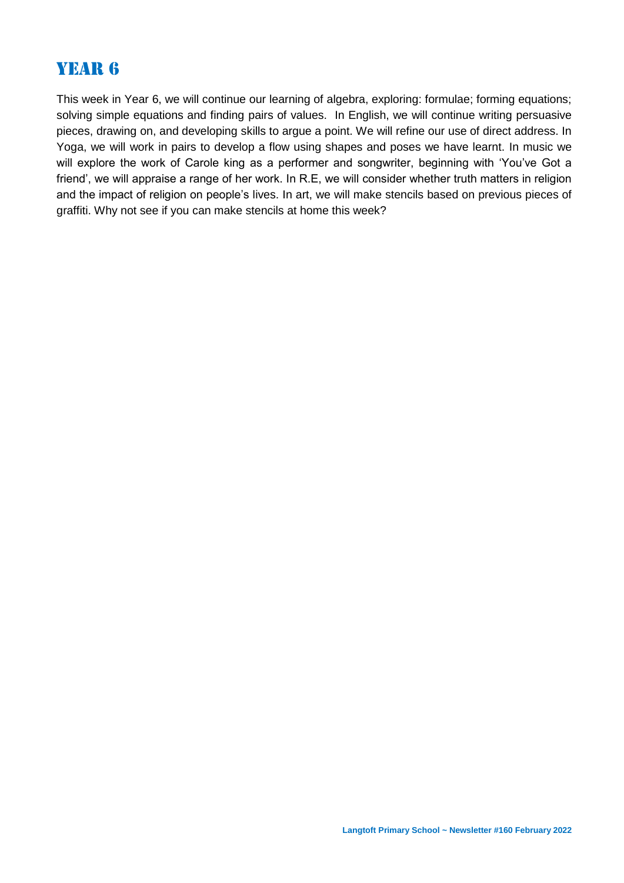# Year 6

This week in Year 6, we will continue our learning of algebra, exploring: formulae; forming equations; solving simple equations and finding pairs of values. In English, we will continue writing persuasive pieces, drawing on, and developing skills to argue a point. We will refine our use of direct address. In Yoga, we will work in pairs to develop a flow using shapes and poses we have learnt. In music we will explore the work of Carole king as a performer and songwriter, beginning with 'You've Got a friend', we will appraise a range of her work. In R.E, we will consider whether truth matters in religion and the impact of religion on people's lives. In art, we will make stencils based on previous pieces of graffiti. Why not see if you can make stencils at home this week?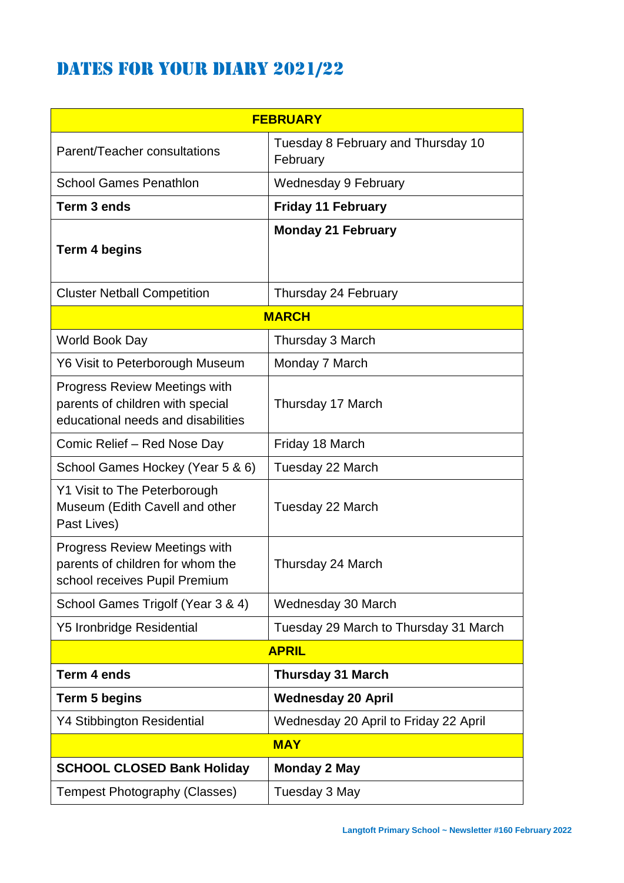# DATES FOR YOUR DIARY 2021/22

| <b>FEBRUARY</b>                                                                                                |                                                |  |  |  |
|----------------------------------------------------------------------------------------------------------------|------------------------------------------------|--|--|--|
| Parent/Teacher consultations                                                                                   | Tuesday 8 February and Thursday 10<br>February |  |  |  |
| <b>School Games Penathlon</b>                                                                                  | Wednesday 9 February                           |  |  |  |
| Term 3 ends                                                                                                    | <b>Friday 11 February</b>                      |  |  |  |
| Term 4 begins                                                                                                  | <b>Monday 21 February</b>                      |  |  |  |
| <b>Cluster Netball Competition</b>                                                                             | Thursday 24 February                           |  |  |  |
| <b>MARCH</b>                                                                                                   |                                                |  |  |  |
| World Book Day                                                                                                 | Thursday 3 March                               |  |  |  |
| Y6 Visit to Peterborough Museum                                                                                | Monday 7 March                                 |  |  |  |
| <b>Progress Review Meetings with</b><br>parents of children with special<br>educational needs and disabilities | Thursday 17 March                              |  |  |  |
| Comic Relief - Red Nose Day                                                                                    | Friday 18 March                                |  |  |  |
| School Games Hockey (Year 5 & 6)                                                                               | Tuesday 22 March                               |  |  |  |
| Y1 Visit to The Peterborough<br>Museum (Edith Cavell and other<br>Past Lives)                                  | Tuesday 22 March                               |  |  |  |
| <b>Progress Review Meetings with</b><br>parents of children for whom the<br>school receives Pupil Premium      | Thursday 24 March                              |  |  |  |
| School Games Trigolf (Year 3 & 4)                                                                              | Wednesday 30 March                             |  |  |  |
| <b>Y5 Ironbridge Residential</b>                                                                               | Tuesday 29 March to Thursday 31 March          |  |  |  |
| <b>APRIL</b>                                                                                                   |                                                |  |  |  |
| Term 4 ends                                                                                                    | <b>Thursday 31 March</b>                       |  |  |  |
| Term 5 begins                                                                                                  | <b>Wednesday 20 April</b>                      |  |  |  |
| <b>Y4 Stibbington Residential</b>                                                                              | Wednesday 20 April to Friday 22 April          |  |  |  |
| <b>MAY</b>                                                                                                     |                                                |  |  |  |
| <b>SCHOOL CLOSED Bank Holiday</b>                                                                              | <b>Monday 2 May</b>                            |  |  |  |
| <b>Tempest Photography (Classes)</b>                                                                           | Tuesday 3 May                                  |  |  |  |